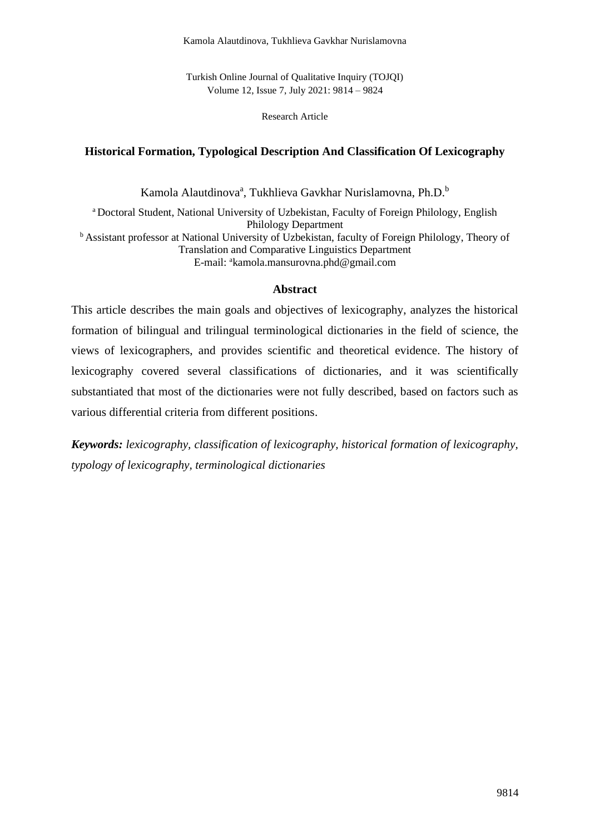Turkish Online Journal of Qualitative Inquiry (TOJQI) Volume 12, Issue 7, July 2021: 9814 – 9824

Research Article

### **Historical Formation, Typological Description And Classification Of Lexicography**

Kamola Alautdinova<sup>a</sup>, Tukhlieva Gavkhar Nurislamovna, Ph.D.<sup>b</sup>

<sup>a</sup> Doctoral Student, National University of Uzbekistan, Faculty of Foreign Philology, English Philology Department <sup>b</sup> Assistant professor at National University of Uzbekistan, faculty of Foreign Philology, Theory of Translation and Comparative Linguistics Department E-mail: <sup>a</sup>kamola.mansurovna.phd@gmail.com

### **Abstract**

This article describes the main goals and objectives of lexicography, analyzes the historical formation of bilingual and trilingual terminological dictionaries in the field of science, the views of lexicographers, and provides scientific and theoretical evidence. The history of lexicography covered several classifications of dictionaries, and it was scientifically substantiated that most of the dictionaries were not fully described, based on factors such as various differential criteria from different positions.

*Keywords: lexicography, classification of lexicography, historical formation of lexicography, typology of lexicography, terminological dictionaries*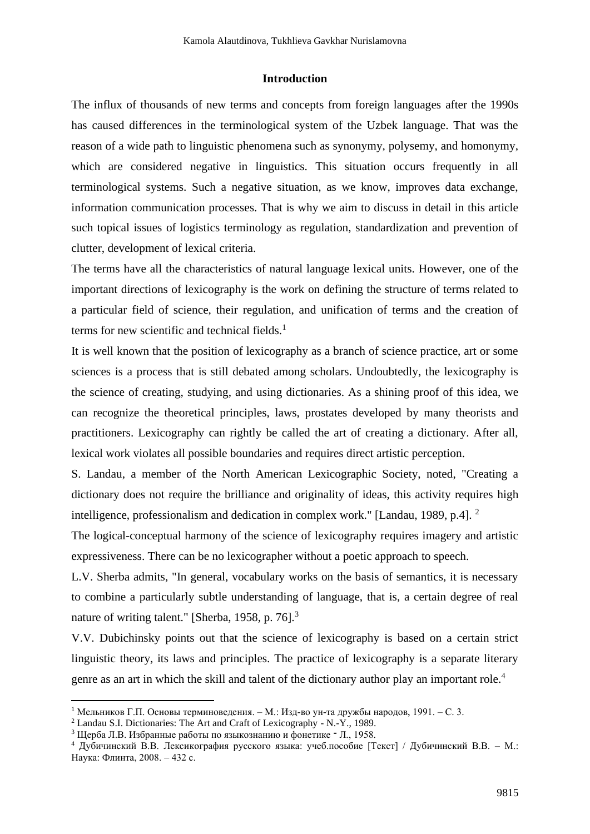#### **Introduction**

The influx of thousands of new terms and concepts from foreign languages after the 1990s has caused differences in the terminological system of the Uzbek language. That was the reason of a wide path to linguistic phenomena such as synonymy, polysemy, and homonymy, which are considered negative in linguistics. This situation occurs frequently in all terminological systems. Such a negative situation, as we know, improves data exchange, information communication processes. That is why we aim to discuss in detail in this article such topical issues of logistics terminology as regulation, standardization and prevention of clutter, development of lexical criteria.

The terms have all the characteristics of natural language lexical units. However, one of the important directions of lexicography is the work on defining the structure of terms related to a particular field of science, their regulation, and unification of terms and the creation of terms for new scientific and technical fields. $<sup>1</sup>$ </sup>

It is well known that the position of lexicography as a branch of science practice, art or some sciences is a process that is still debated among scholars. Undoubtedly, the lexicography is the science of creating, studying, and using dictionaries. As a shining proof of this idea, we can recognize the theoretical principles, laws, prostates developed by many theorists and practitioners. Lexicography can rightly be called the art of creating a dictionary. After all, lexical work violates all possible boundaries and requires direct artistic perception.

S. Landau, a member of the North American Lexicographic Society, noted, "Creating a dictionary does not require the brilliance and originality of ideas, this activity requires high intelligence, professionalism and dedication in complex work." [Landau, 1989, p.4]. <sup>2</sup>

The logical-conceptual harmony of the science of lexicography requires imagery and artistic expressiveness. There can be no lexicographer without a poetic approach to speech.

L.V. Sherba admits, "In general, vocabulary works on the basis of semantics, it is necessary to combine a particularly subtle understanding of language, that is, a certain degree of real nature of writing talent." [Sherba, 1958, p. 76].<sup>3</sup>

V.V. Dubichinsky points out that the science of lexicography is based on a certain strict linguistic theory, its laws and principles. The practice of lexicography is a separate literary genre as an art in which the skill and talent of the dictionary author play an important role.<sup>4</sup>

<sup>&</sup>lt;sup>1</sup> Мельников Г.П. Основы терминоведения. – М.: Изд-во ун-та дружбы народов, 1991. – С. 3.

<sup>2</sup> Landau S.I. Dictionaries: The Art and Craft of Lexicography - N.-Y., 1989.

<sup>3</sup> Щерба Л.В. Избранные работы по языкознанию и фонетике ־ Л., 1958.

<sup>4</sup> Дубичинский В.В. Лексикография русского языка: учеб.пособие [Текст] / Дубичинский В.В. – М.: Наука: Флинта, 2008. – 432 с.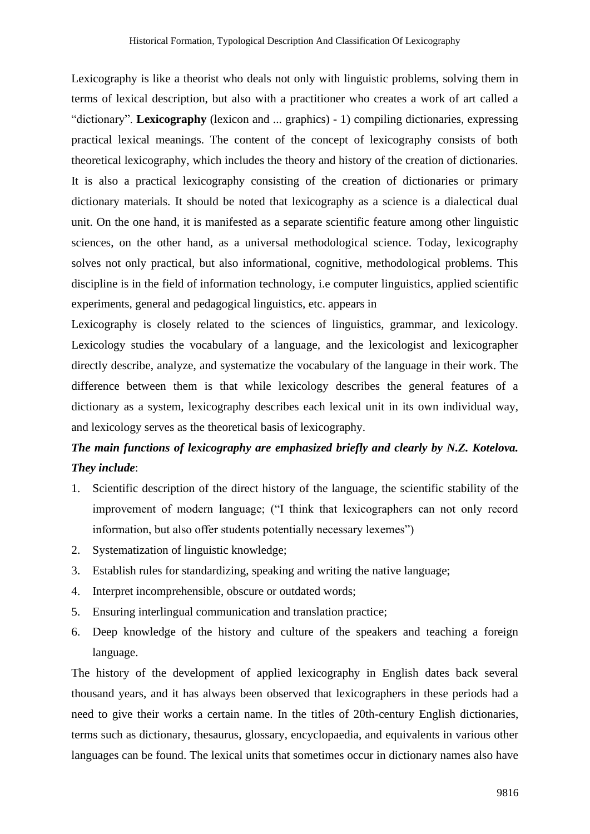Lexicography is like a theorist who deals not only with linguistic problems, solving them in terms of lexical description, but also with a practitioner who creates a work of art called a "dictionary". **Lexicography** (lexicon and ... graphics) - 1) compiling dictionaries, expressing practical lexical meanings. The content of the concept of lexicography consists of both theoretical lexicography, which includes the theory and history of the creation of dictionaries. It is also a practical lexicography consisting of the creation of dictionaries or primary dictionary materials. It should be noted that lexicography as a science is a dialectical dual unit. On the one hand, it is manifested as a separate scientific feature among other linguistic sciences, on the other hand, as a universal methodological science. Today, lexicography solves not only practical, but also informational, cognitive, methodological problems. This discipline is in the field of information technology, i.e computer linguistics, applied scientific experiments, general and pedagogical linguistics, etc. appears in

Lexicography is closely related to the sciences of linguistics, grammar, and lexicology. Lexicology studies the vocabulary of a language, and the lexicologist and lexicographer directly describe, analyze, and systematize the vocabulary of the language in their work. The difference between them is that while lexicology describes the general features of a dictionary as a system, lexicography describes each lexical unit in its own individual way, and lexicology serves as the theoretical basis of lexicography.

# *The main functions of lexicography are emphasized briefly and clearly by N.Z. Kotelova. They include*:

- 1. Scientific description of the direct history of the language, the scientific stability of the improvement of modern language; ("I think that lexicographers can not only record information, but also offer students potentially necessary lexemes")
- 2. Systematization of linguistic knowledge;
- 3. Establish rules for standardizing, speaking and writing the native language;
- 4. Interpret incomprehensible, obscure or outdated words;
- 5. Ensuring interlingual communication and translation practice;
- 6. Deep knowledge of the history and culture of the speakers and teaching a foreign language.

The history of the development of applied lexicography in English dates back several thousand years, and it has always been observed that lexicographers in these periods had a need to give their works a certain name. In the titles of 20th-century English dictionaries, terms such as dictionary, thesaurus, glossary, encyclopaedia, and equivalents in various other languages can be found. The lexical units that sometimes occur in dictionary names also have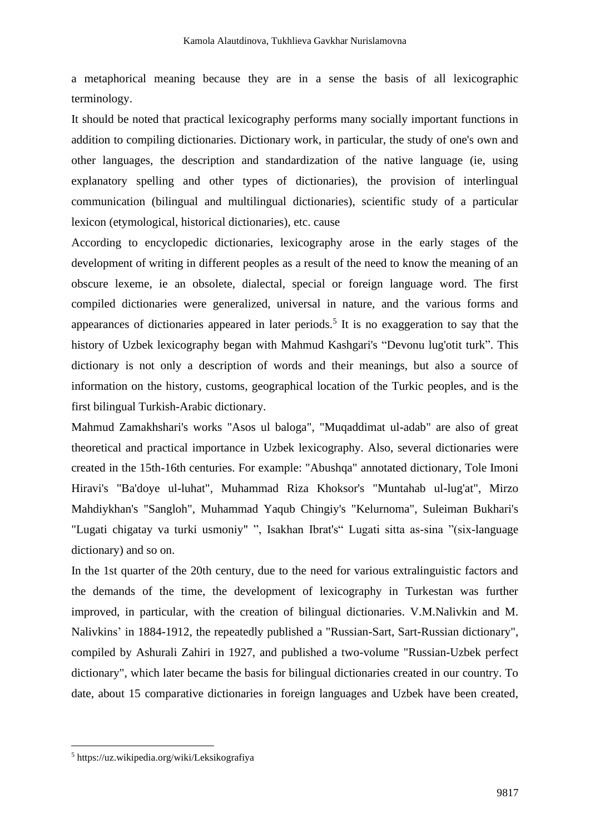a metaphorical meaning because they are in a sense the basis of all lexicographic terminology.

It should be noted that practical lexicography performs many socially important functions in addition to compiling dictionaries. Dictionary work, in particular, the study of one's own and other languages, the description and standardization of the native language (ie, using explanatory spelling and other types of dictionaries), the provision of interlingual communication (bilingual and multilingual dictionaries), scientific study of a particular lexicon (etymological, historical dictionaries), etc. cause

According to encyclopedic dictionaries, lexicography arose in the early stages of the development of writing in different peoples as a result of the need to know the meaning of an obscure lexeme, ie an obsolete, dialectal, special or foreign language word. The first compiled dictionaries were generalized, universal in nature, and the various forms and appearances of dictionaries appeared in later periods.<sup>5</sup> It is no exaggeration to say that the history of Uzbek lexicography began with Mahmud Kashgari's "Devonu lug'otit turk". This dictionary is not only a description of words and their meanings, but also a source of information on the history, customs, geographical location of the Turkic peoples, and is the first bilingual Turkish-Arabic dictionary.

Mahmud Zamakhshari's works "Asos ul baloga", "Muqaddimat ul-adab" are also of great theoretical and practical importance in Uzbek lexicography. Also, several dictionaries were created in the 15th-16th centuries. For example: "Abushqa" annotated dictionary, Tole Imoni Hiravi's "Ba'doye ul-luhat", Muhammad Riza Khoksor's "Muntahab ul-lug'at", Mirzo Mahdiykhan's "Sangloh", Muhammad Yaqub Chingiy's "Kelurnoma", Suleiman Bukhari's "Lugati chigatay va turki usmoniy" ", Isakhan Ibrat's" Lugati sitta as-sina "(six-language dictionary) and so on.

In the 1st quarter of the 20th century, due to the need for various extralinguistic factors and the demands of the time, the development of lexicography in Turkestan was further improved, in particular, with the creation of bilingual dictionaries. V.M.Nalivkin and M. Nalivkins' in 1884-1912, the repeatedly published a "Russian-Sart, Sart-Russian dictionary", compiled by Ashurali Zahiri in 1927, and published a two-volume "Russian-Uzbek perfect dictionary", which later became the basis for bilingual dictionaries created in our country. To date, about 15 comparative dictionaries in foreign languages and Uzbek have been created,

<sup>5</sup> https://uz.wikipedia.org/wiki/Leksikografiya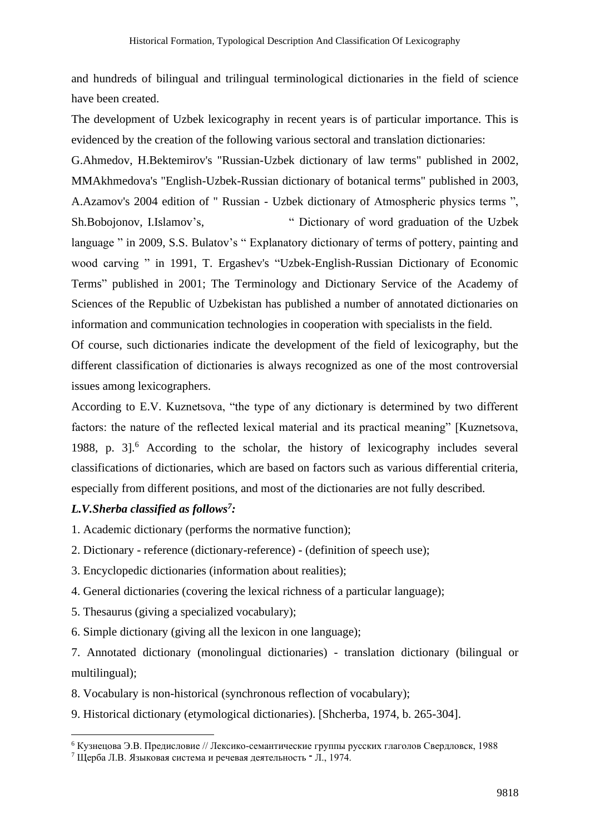and hundreds of bilingual and trilingual terminological dictionaries in the field of science have been created.

The development of Uzbek lexicography in recent years is of particular importance. This is evidenced by the creation of the following various sectoral and translation dictionaries:

G.Ahmedov, H.Bektemirov's "Russian-Uzbek dictionary of law terms" published in 2002, MMAkhmedova's "English-Uzbek-Russian dictionary of botanical terms" published in 2003, A.Azamov's 2004 edition of " Russian - Uzbek dictionary of Atmospheric physics terms ", Sh.Bobojonov, I.Islamov's, " Dictionary of word graduation of the Uzbek language " in 2009, S.S. Bulatov's " Explanatory dictionary of terms of pottery, painting and wood carving " in 1991, T. Ergashev's "Uzbek-English-Russian Dictionary of Economic Terms" published in 2001; The Terminology and Dictionary Service of the Academy of Sciences of the Republic of Uzbekistan has published a number of annotated dictionaries on information and communication technologies in cooperation with specialists in the field.

Of course, such dictionaries indicate the development of the field of lexicography, but the different classification of dictionaries is always recognized as one of the most controversial issues among lexicographers.

According to E.V. Kuznetsova, "the type of any dictionary is determined by two different factors: the nature of the reflected lexical material and its practical meaning" [Kuznetsova, 1988, p. 3].<sup>6</sup> According to the scholar, the history of lexicography includes several classifications of dictionaries, which are based on factors such as various differential criteria, especially from different positions, and most of the dictionaries are not fully described.

### *L.V.Sherba classified as follows<sup>7</sup> :*

- 1. Academic dictionary (performs the normative function);
- 2. Dictionary reference (dictionary-reference) (definition of speech use);
- 3. Encyclopedic dictionaries (information about realities);
- 4. General dictionaries (covering the lexical richness of a particular language);
- 5. Thesaurus (giving a specialized vocabulary);
- 6. Simple dictionary (giving all the lexicon in one language);

7. Annotated dictionary (monolingual dictionaries) - translation dictionary (bilingual or multilingual);

8. Vocabulary is non-historical (synchronous reflection of vocabulary);

9. Historical dictionary (etymological dictionaries). [Shcherba, 1974, b. 265-304].

<sup>6</sup> Кузнецова Э.В. Предисловие // Лексико-семантические группы русских глаголов Свердловск, 1988

<sup>7</sup> Щерба Л.В. Языковая система и речевая деятельность ־ Л., 1974.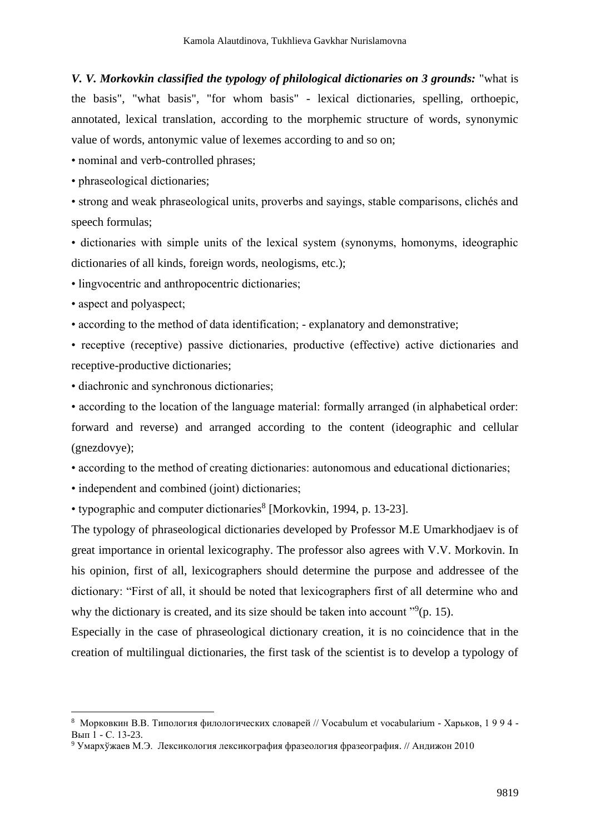*V. V. Morkovkin classified the typology of philological dictionaries on 3 grounds:* "what is the basis", "what basis", "for whom basis" - lexical dictionaries, spelling, orthoepic, annotated, lexical translation, according to the morphemic structure of words, synonymic value of words, antonymic value of lexemes according to and so on;

• nominal and verb-controlled phrases;

• phraseological dictionaries;

• strong and weak phraseological units, proverbs and sayings, stable comparisons, clichés and speech formulas;

• dictionaries with simple units of the lexical system (synonyms, homonyms, ideographic dictionaries of all kinds, foreign words, neologisms, etc.);

• lingvocentric and anthropocentric dictionaries;

• aspect and polyaspect;

• according to the method of data identification; - explanatory and demonstrative;

• receptive (receptive) passive dictionaries, productive (effective) active dictionaries and receptive-productive dictionaries;

• diachronic and synchronous dictionaries;

• according to the location of the language material: formally arranged (in alphabetical order: forward and reverse) and arranged according to the content (ideographic and cellular (gnezdovye);

• according to the method of creating dictionaries: autonomous and educational dictionaries;

• independent and combined (joint) dictionaries;

• typographic and computer dictionaries<sup>8</sup> [Morkovkin, 1994, p. 13-23].

The typology of phraseological dictionaries developed by Professor M.E Umarkhodjaev is of great importance in oriental lexicography. The professor also agrees with V.V. Morkovin. In his opinion, first of all, lexicographers should determine the purpose and addressee of the dictionary: "First of all, it should be noted that lexicographers first of all determine who and why the dictionary is created, and its size should be taken into account  $"9(p. 15)$ .

Especially in the case of phraseological dictionary creation, it is no coincidence that in the creation of multilingual dictionaries, the first task of the scientist is to develop a typology of

<sup>8</sup> Морковкин В.В. Типология филологических словарей // Vocabulum et vocabularium - Харьков, 1 9 9 4 - Вып 1 - С. 13-23.

<sup>9</sup> Умархўжаев М.Э. Лексикология лексикография фразеология фразеография. // Андижон 2010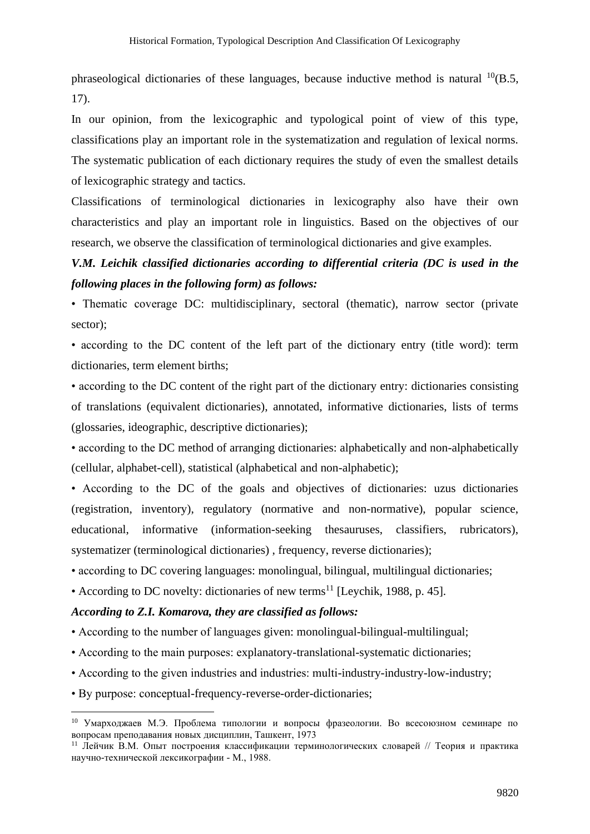phraseological dictionaries of these languages, because inductive method is natural  $^{10}(B.5, \theta)$ 17).

In our opinion, from the lexicographic and typological point of view of this type, classifications play an important role in the systematization and regulation of lexical norms. The systematic publication of each dictionary requires the study of even the smallest details of lexicographic strategy and tactics.

Classifications of terminological dictionaries in lexicography also have their own characteristics and play an important role in linguistics. Based on the objectives of our research, we observe the classification of terminological dictionaries and give examples.

# *V.M. Leichik classified dictionaries according to differential criteria (DC is used in the following places in the following form) as follows:*

• Thematic coverage DC: multidisciplinary, sectoral (thematic), narrow sector (private sector);

• according to the DC content of the left part of the dictionary entry (title word): term dictionaries, term element births;

• according to the DC content of the right part of the dictionary entry: dictionaries consisting of translations (equivalent dictionaries), annotated, informative dictionaries, lists of terms (glossaries, ideographic, descriptive dictionaries);

• according to the DC method of arranging dictionaries: alphabetically and non-alphabetically (cellular, alphabet-cell), statistical (alphabetical and non-alphabetic);

• According to the DC of the goals and objectives of dictionaries: uzus dictionaries (registration, inventory), regulatory (normative and non-normative), popular science, educational, informative (information-seeking thesauruses, classifiers, rubricators), systematizer (terminological dictionaries), frequency, reverse dictionaries);

• according to DC covering languages: monolingual, bilingual, multilingual dictionaries;

• According to DC novelty: dictionaries of new terms<sup>11</sup> [Leychik, 1988, p. 45].

### *According to Z.I. Komarova, they are classified as follows:*

- According to the number of languages given: monolingual-bilingual-multilingual;
- According to the main purposes: explanatory-translational-systematic dictionaries;
- According to the given industries and industries: multi-industry-industry-low-industry;
- By purpose: conceptual-frequency-reverse-order-dictionaries;

<sup>10</sup> Умарходжаев М.Э. Проблема типологии и вопросы фразеологии. Во всесоюзном семинаре по вопросам преподавания новых дисциплин, Ташкент, 1973

<sup>&</sup>lt;sup>11</sup> Лейчик В.М. Опыт построения классификации терминологических словарей // Теория и практика научно-технической лексикографии - М., 1988.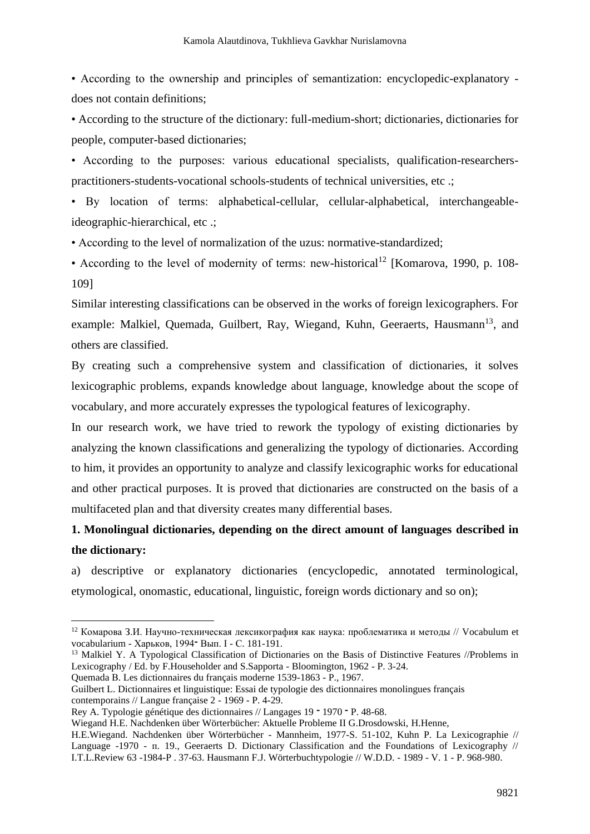• According to the ownership and principles of semantization: encyclopedic-explanatory does not contain definitions;

• According to the structure of the dictionary: full-medium-short; dictionaries, dictionaries for people, computer-based dictionaries;

• According to the purposes: various educational specialists, qualification-researcherspractitioners-students-vocational schools-students of technical universities, etc .;

• By location of terms: alphabetical-cellular, cellular-alphabetical, interchangeableideographic-hierarchical, etc .;

• According to the level of normalization of the uzus: normative-standardized;

• According to the level of modernity of terms: new-historical<sup>12</sup> [Komarova, 1990, p. 108-109]

Similar interesting classifications can be observed in the works of foreign lexicographers. For example: Malkiel, Quemada, Guilbert, Ray, Wiegand, Kuhn, Geeraerts, Hausmann<sup>13</sup>, and others are classified.

By creating such a comprehensive system and classification of dictionaries, it solves lexicographic problems, expands knowledge about language, knowledge about the scope of vocabulary, and more accurately expresses the typological features of lexicography.

In our research work, we have tried to rework the typology of existing dictionaries by analyzing the known classifications and generalizing the typology of dictionaries. According to him, it provides an opportunity to analyze and classify lexicographic works for educational and other practical purposes. It is proved that dictionaries are constructed on the basis of a multifaceted plan and that diversity creates many differential bases.

## **1. Monolingual dictionaries, depending on the direct amount of languages described in the dictionary:**

a) descriptive or explanatory dictionaries (encyclopedic, annotated terminological, etymological, onomastic, educational, linguistic, foreign words dictionary and so on);

<sup>13</sup> Malkiel Y. A Typological Classification of Dictionaries on the Basis of Distinctive Features //Problems in Lexicography / Ed. by F.Householder and S.Sapporta - Bloomington, 1962 - P. 3-24.

Quemada В. Les dictionnaires du français moderne 1539-1863 - P., 1967.

Guilbert L. Dictionnaires et linguistique: Essai de typologie des dictionnaires monolingues français contemporains // Langue française 2 - 1969 - P. 4-29.

 $12$  Комарова З.И. Научно-техническая лексикография как наука: проблематика и методы // Vocabulum et vocabularium - Харьков, 1994־ Вып. I - С. 181-191.

Rey A. Typologie génétique des dictionnaires // Langages 19 ־ 1970 ־ P. 48-68.

Wiegand H.E. Nachdenken über Wörterbücher: Aktuelle Probleme II G.Drosdowski, H.Henne,

H.E.Wiegand. Nachdenken über Wörterbücher - Mannheim, 1977-S. 51-102, Kuhn P. La Lexicographie // Language -1970 - п. 19., Geeraerts D. Dictionary Classification and the Foundations of Lexicography // I.T.L.Review 63 -1984-P . 37-63. Hausmann F.J. Wörterbuchtypologie // W.D.D. - 1989 - V. 1 - P. 968-980.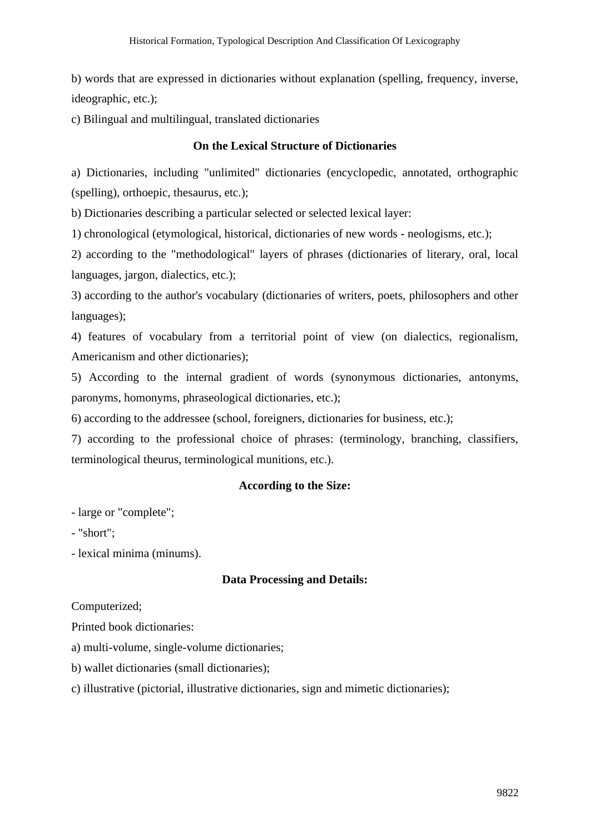b) words that are expressed in dictionaries without explanation (spelling, frequency, inverse, ideographic, etc.);

c) Bilingual and multilingual, translated dictionaries

### **On the Lexical Structure of Dictionaries**

a) Dictionaries, including "unlimited" dictionaries (encyclopedic, annotated, orthographic (spelling), orthoepic, thesaurus, etc.);

b) Dictionaries describing a particular selected or selected lexical layer:

1) chronological (etymological, historical, dictionaries of new words - neologisms, etc.);

2) according to the "methodological" layers of phrases (dictionaries of literary, oral, local languages, jargon, dialectics, etc.);

3) according to the author's vocabulary (dictionaries of writers, poets, philosophers and other languages);

4) features of vocabulary from a territorial point of view (on dialectics, regionalism, Americanism and other dictionaries);

5) According to the internal gradient of words (synonymous dictionaries, antonyms, paronyms, homonyms, phraseological dictionaries, etc.);

6) according to the addressee (school, foreigners, dictionaries for business, etc.);

7) according to the professional choice of phrases: (terminology, branching, classifiers, terminological theurus, terminological munitions, etc.).

### **According to the Size:**

- large or "complete";

- "short";

- lexical minima (minums).

### **Data Processing and Details:**

Computerized;

Printed book dictionaries:

a) multi-volume, single-volume dictionaries;

b) wallet dictionaries (small dictionaries);

c) illustrative (pictorial, illustrative dictionaries, sign and mimetic dictionaries);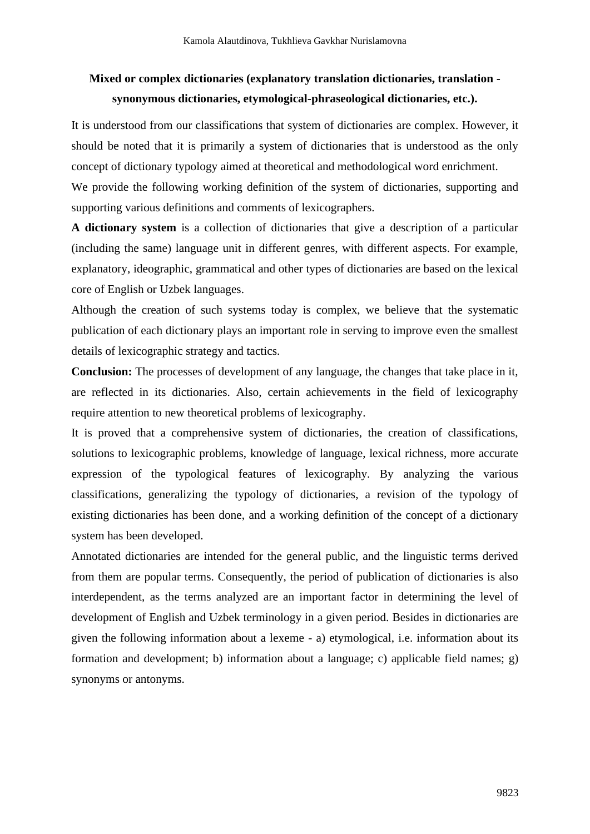# **Mixed or complex dictionaries (explanatory translation dictionaries, translation synonymous dictionaries, etymological-phraseological dictionaries, etc.).**

It is understood from our classifications that system of dictionaries are complex. However, it should be noted that it is primarily a system of dictionaries that is understood as the only concept of dictionary typology aimed at theoretical and methodological word enrichment. We provide the following working definition of the system of dictionaries, supporting and supporting various definitions and comments of lexicographers.

**A dictionary system** is a collection of dictionaries that give a description of a particular (including the same) language unit in different genres, with different aspects. For example, explanatory, ideographic, grammatical and other types of dictionaries are based on the lexical core of English or Uzbek languages.

Although the creation of such systems today is complex, we believe that the systematic publication of each dictionary plays an important role in serving to improve even the smallest details of lexicographic strategy and tactics.

**Conclusion:** The processes of development of any language, the changes that take place in it, are reflected in its dictionaries. Also, certain achievements in the field of lexicography require attention to new theoretical problems of lexicography.

It is proved that a comprehensive system of dictionaries, the creation of classifications, solutions to lexicographic problems, knowledge of language, lexical richness, more accurate expression of the typological features of lexicography. By analyzing the various classifications, generalizing the typology of dictionaries, a revision of the typology of existing dictionaries has been done, and a working definition of the concept of a dictionary system has been developed.

Annotated dictionaries are intended for the general public, and the linguistic terms derived from them are popular terms. Consequently, the period of publication of dictionaries is also interdependent, as the terms analyzed are an important factor in determining the level of development of English and Uzbek terminology in a given period. Besides in dictionaries are given the following information about a lexeme - a) etymological, i.e. information about its formation and development; b) information about a language; c) applicable field names; g) synonyms or antonyms.